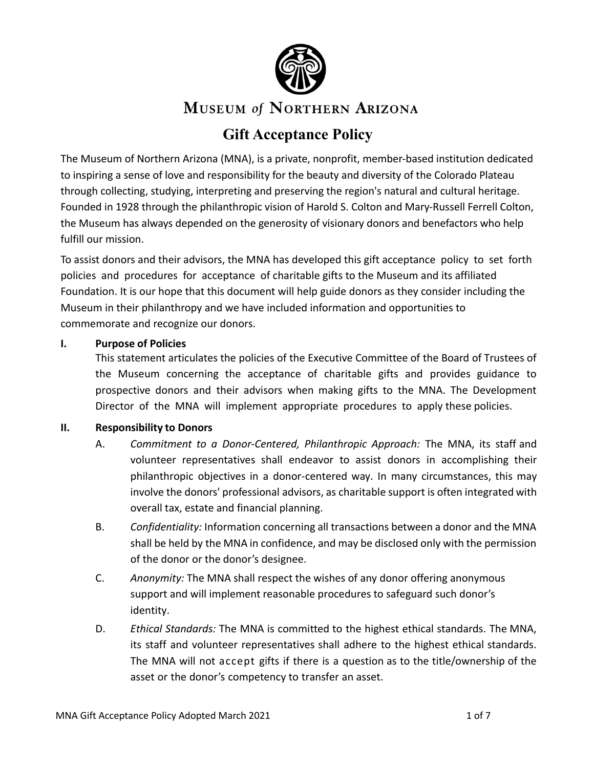

# **MUSEUM of NORTHERN ARIZONA**

# **Gift Acceptance Policy**

The Museum of Northern Arizona (MNA), is a private, nonprofit, member-based institution dedicated to inspiring a sense of love and responsibility for the beauty and diversity of the Colorado Plateau through collecting, studying, interpreting and preserving the region's natural and cultural heritage. Founded in 1928 through the philanthropic vision of Harold S. Colton and Mary-Russell Ferrell Colton, the Museum has always depended on the generosity of visionary donors and benefactors who help fulfill our mission.

To assist donors and their advisors, the MNA has developed this gift acceptance policy to set forth policies and procedures for acceptance of charitable gifts to the Museum and its affiliated Foundation. It is our hope that this document will help guide donors as they consider including the Museum in their philanthropy and we have included information and opportunities to commemorate and recognize our donors.

### **I. Purpose of Policies**

This statement articulates the policies of the Executive Committee of the Board of Trustees of the Museum concerning the acceptance of charitable gifts and provides guidance to prospective donors and their advisors when making gifts to the MNA. The Development Director of the MNA will implement appropriate procedures to apply these policies.

## **II. Responsibility to Donors**

- A. *Commitment to a Donor-Centered, Philanthropic Approach:* The MNA, its staff and volunteer representatives shall endeavor to assist donors in accomplishing their philanthropic objectives in a donor-centered way. In many circumstances, this may involve the donors' professional advisors, as charitable support is often integrated with overall tax, estate and financial planning.
- B. *Confidentiality:* Information concerning all transactions between a donor and the MNA shall be held by the MNA in confidence, and may be disclosed only with the permission of the donor or the donor's designee.
- C. *Anonymity:* The MNA shall respect the wishes of any donor offering anonymous support and will implement reasonable procedures to safeguard such donor's identity.
- D. *Ethical Standards:* The MNA is committed to the highest ethical standards. The MNA, its staff and volunteer representatives shall adhere to the highest ethical standards. The MNA will not accept gifts if there is a question as to the title/ownership of the asset or the donor's competency to transfer an asset.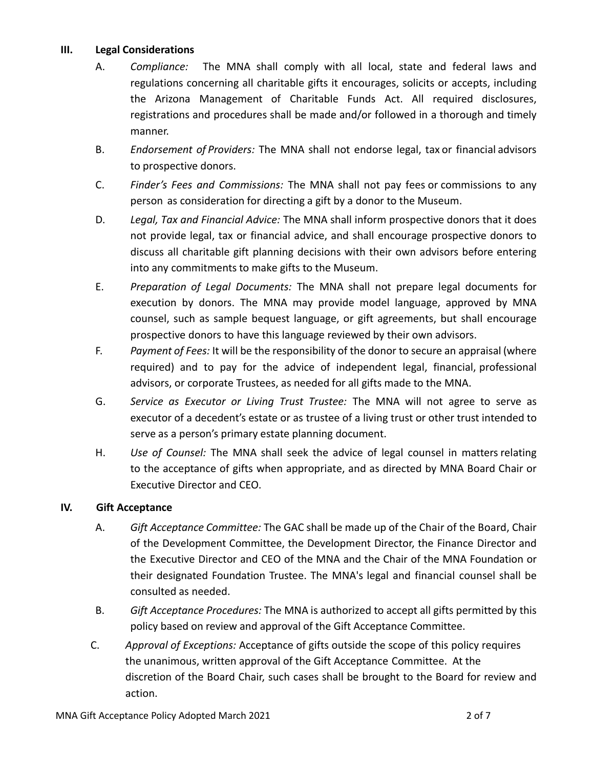### **III. Legal Considerations**

- A. *Compliance:* The MNA shall comply with all local, state and federal laws and regulations concerning all charitable gifts it encourages, solicits or accepts, including the Arizona Management of Charitable Funds Act. All required disclosures, registrations and procedures shall be made and/or followed in a thorough and timely manner.
- B. *Endorsement of Providers:* The MNA shall not endorse legal, tax or financial advisors to prospective donors.
- C. *Finder's Fees and Commissions:* The MNA shall not pay fees or commissions to any person as consideration for directing a gift by a donor to the Museum.
- D. *Legal, Tax and Financial Advice:* The MNA shall inform prospective donors that it does not provide legal, tax or financial advice, and shall encourage prospective donors to discuss all charitable gift planning decisions with their own advisors before entering into any commitments to make gifts to the Museum.
- E. *Preparation of Legal Documents:* The MNA shall not prepare legal documents for execution by donors. The MNA may provide model language, approved by MNA counsel, such as sample bequest language, or gift agreements, but shall encourage prospective donors to have this language reviewed by their own advisors.
- F. *Payment of Fees:* It will be the responsibility of the donor to secure an appraisal (where required) and to pay for the advice of independent legal, financial, professional advisors, or corporate Trustees, as needed for all gifts made to the MNA.
- G. *Service as Executor or Living Trust Trustee:* The MNA will not agree to serve as executor of a decedent's estate or as trustee of a living trust or other trust intended to serve as a person's primary estate planning document.
- H. *Use of Counsel:* The MNA shall seek the advice of legal counsel in matters relating to the acceptance of gifts when appropriate, and as directed by MNA Board Chair or Executive Director and CEO.

## **IV. Gift Acceptance**

- A. *Gift Acceptance Committee:* The GAC shall be made up of the Chair of the Board, Chair of the Development Committee, the Development Director, the Finance Director and the Executive Director and CEO of the MNA and the Chair of the MNA Foundation or their designated Foundation Trustee. The MNA's legal and financial counsel shall be consulted as needed.
- B. *Gift Acceptance Procedures:* The MNA is authorized to accept all gifts permitted by this policy based on review and approval of the Gift Acceptance Committee.
- C. *Approval of Exceptions:* Acceptance of gifts outside the scope of this policy requires the unanimous, written approval of the Gift Acceptance Committee. At the discretion of the Board Chair, such cases shall be brought to the Board for review and action.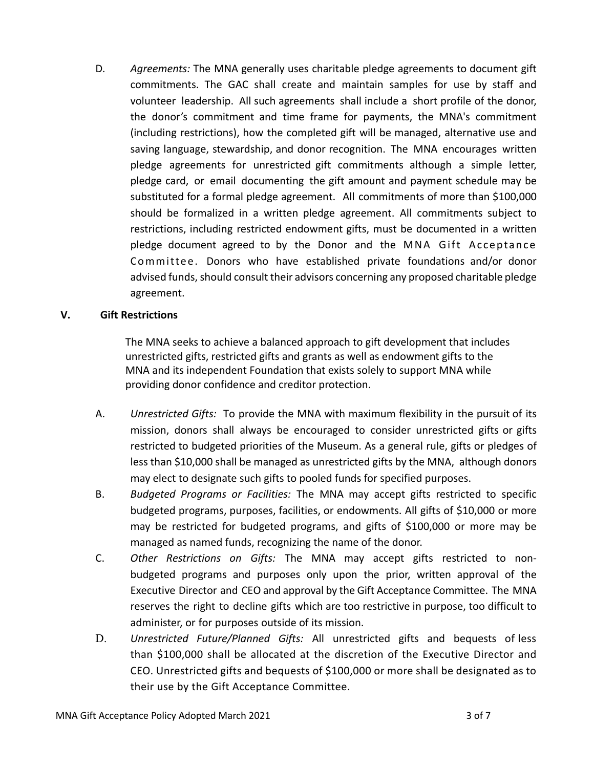D. *Agreements:* The MNA generally uses charitable pledge agreements to document gift commitments. The GAC shall create and maintain samples for use by staff and volunteer leadership. All such agreements shall include a short profile of the donor, the donor's commitment and time frame for payments, the MNA's commitment (including restrictions), how the completed gift will be managed, alternative use and saving language, stewardship, and donor recognition. The MNA encourages written pledge agreements for unrestricted gift commitments although a simple letter, pledge card, or email documenting the gift amount and payment schedule may be substituted for a formal pledge agreement. All commitments of more than \$100,000 should be formalized in a written pledge agreement. All commitments subject to restrictions, including restricted endowment gifts, must be documented in a written pledge document agreed to by the Donor and the MNA Gift Acceptance Committee. Donors who have established private foundations and/or donor advised funds, should consult their advisors concerning any proposed charitable pledge agreement.

### **V. Gift Restrictions**

The MNA seeks to achieve a balanced approach to gift development that includes unrestricted gifts, restricted gifts and grants as well as endowment gifts to the MNA and its independent Foundation that exists solely to support MNA while providing donor confidence and creditor protection.

- A. *Unrestricted Gifts:* To provide the MNA with maximum flexibility in the pursuit of its mission, donors shall always be encouraged to consider unrestricted gifts or gifts restricted to budgeted priorities of the Museum. As a general rule, gifts or pledges of less than \$10,000 shall be managed as unrestricted gifts by the MNA, although donors may elect to designate such gifts to pooled funds for specified purposes.
- B. *Budgeted Programs or Facilities:* The MNA may accept gifts restricted to specific budgeted programs, purposes, facilities, or endowments. All gifts of \$10,000 or more may be restricted for budgeted programs, and gifts of \$100,000 or more may be managed as named funds, recognizing the name of the donor.
- C. *Other Restrictions on Gifts:* The MNA may accept gifts restricted to nonbudgeted programs and purposes only upon the prior, written approval of the Executive Director and CEO and approval by the Gift Acceptance Committee. The MNA reserves the right to decline gifts which are too restrictive in purpose, too difficult to administer, or for purposes outside of its mission.
- D. *Unrestricted Future/Planned Gifts:* All unrestricted gifts and bequests of less than \$100,000 shall be allocated at the discretion of the Executive Director and CEO. Unrestricted gifts and bequests of \$100,000 or more shall be designated as to their use by the Gift Acceptance Committee.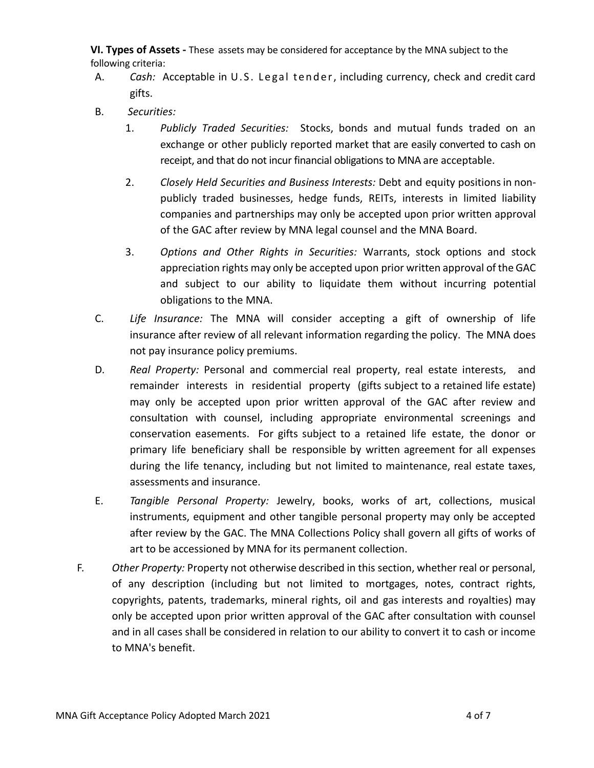**VI. Types of Assets -** These assets may be considered for acceptance by the MNA subject to the following criteria:

- A. *Cash:* Acceptable in U.S. Legal tender, including currency, check and credit card gifts.
- B. *Securities:*
	- 1. *Publicly Traded Securities:* Stocks, bonds and mutual funds traded on an exchange or other publicly reported market that are easily converted to cash on receipt, and that do not incur financial obligations to MNA are acceptable.
	- 2. *Closely Held Securities and Business Interests:* Debt and equity positions in nonpublicly traded businesses, hedge funds, REITs, interests in limited liability companies and partnerships may only be accepted upon prior written approval of the GAC after review by MNA legal counsel and the MNA Board.
	- 3. *Options and Other Rights in Securities:* Warrants, stock options and stock appreciation rights may only be accepted upon prior written approval of the GAC and subject to our ability to liquidate them without incurring potential obligations to the MNA.
- C. *Life Insurance:* The MNA will consider accepting a gift of ownership of life insurance after review of all relevant information regarding the policy. The MNA does not pay insurance policy premiums.
- D. *Real Property:* Personal and commercial real property, real estate interests, and remainder interests in residential property (gifts subject to a retained life estate) may only be accepted upon prior written approval of the GAC after review and consultation with counsel, including appropriate environmental screenings and conservation easements. For gifts subject to a retained life estate, the donor or primary life beneficiary shall be responsible by written agreement for all expenses during the life tenancy, including but not limited to maintenance, real estate taxes, assessments and insurance.
- E. *Tangible Personal Property:* Jewelry, books, works of art, collections, musical instruments, equipment and other tangible personal property may only be accepted after review by the GAC. The MNA Collections Policy shall govern all gifts of works of art to be accessioned by MNA for its permanent collection.
- F. *Other Property:* Property not otherwise described in this section, whether real or personal, of any description (including but not limited to mortgages, notes, contract rights, copyrights, patents, trademarks, mineral rights, oil and gas interests and royalties) may only be accepted upon prior written approval of the GAC after consultation with counsel and in all cases shall be considered in relation to our ability to convert it to cash or income to MNA's benefit.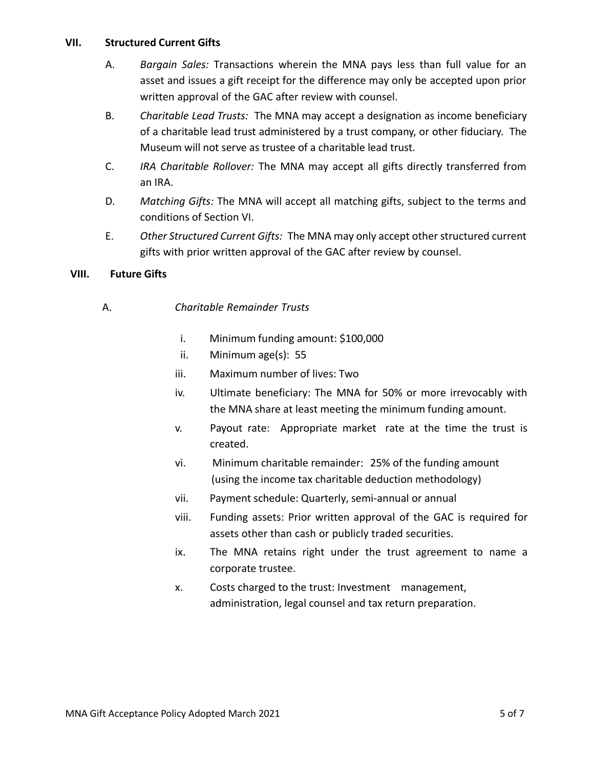#### **VII. Structured Current Gifts**

- A. *Bargain Sales:* Transactions wherein the MNA pays less than full value for an asset and issues a gift receipt for the difference may only be accepted upon prior written approval of the GAC after review with counsel.
- B. *Charitable Lead Trusts:* The MNA may accept a designation as income beneficiary of a charitable lead trust administered by a trust company, or other fiduciary. The Museum will not serve as trustee of a charitable lead trust.
- C. *IRA Charitable Rollover:* The MNA may accept all gifts directly transferred from an IRA.
- D. *Matching Gifts:* The MNA will accept all matching gifts, subject to the terms and conditions of Section VI.
- E. *Other Structured Current Gifts:* The MNA may only accept other structured current gifts with prior written approval of the GAC after review by counsel.

### **VIII. Future Gifts**

### A. *Charitable Remainder Trusts*

- i. Minimum funding amount: \$100,000
- ii. Minimum age(s): 55
- iii. Maximum number of lives: Two
- iv. Ultimate beneficiary: The MNA for 50% or more irrevocably with the MNA share at least meeting the minimum funding amount.
- v. Payout rate: Appropriate market rate at the time the trust is created.
- vi. Minimum charitable remainder: 25% of the funding amount (using the income tax charitable deduction methodology)
- vii. Payment schedule: Quarterly, semi-annual or annual
- viii. Funding assets: Prior written approval of the GAC is required for assets other than cash or publicly traded securities.
- ix. The MNA retains right under the trust agreement to name a corporate trustee.
- x. Costs charged to the trust: Investment management, administration, legal counsel and tax return preparation.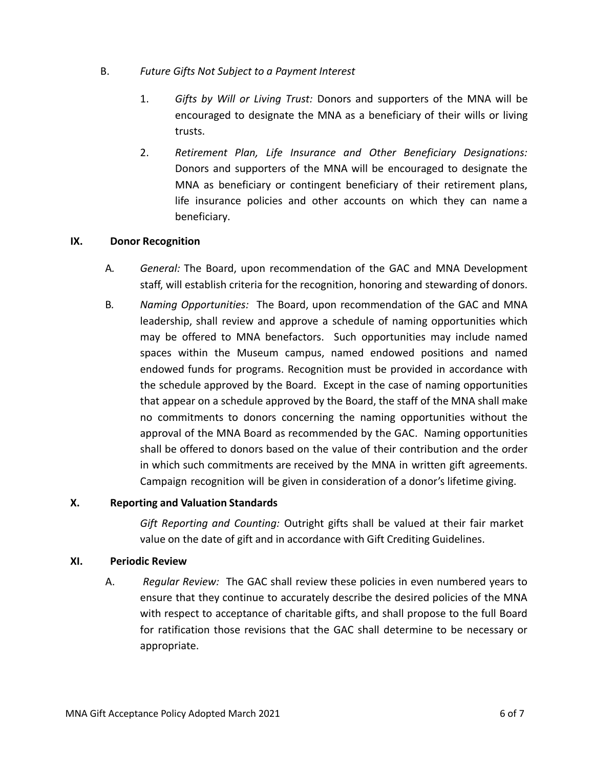- B. *Future Gifts Not Subject to a Payment Interest*
	- 1. *Gifts by Will or Living Trust:* Donors and supporters of the MNA will be encouraged to designate the MNA as a beneficiary of their wills or living trusts.
	- 2. *Retirement Plan, Life Insurance and Other Beneficiary Designations:*  Donors and supporters of the MNA will be encouraged to designate the MNA as beneficiary or contingent beneficiary of their retirement plans, life insurance policies and other accounts on which they can name a beneficiary.

#### **IX. Donor Recognition**

- A*. General:* The Board, upon recommendation of the GAC and MNA Development staff, will establish criteria for the recognition, honoring and stewarding of donors.
- B*. Naming Opportunities:* The Board, upon recommendation of the GAC and MNA leadership, shall review and approve a schedule of naming opportunities which may be offered to MNA benefactors. Such opportunities may include named spaces within the Museum campus, named endowed positions and named endowed funds for programs. Recognition must be provided in accordance with the schedule approved by the Board. Except in the case of naming opportunities that appear on a schedule approved by the Board, the staff of the MNA shall make no commitments to donors concerning the naming opportunities without the approval of the MNA Board as recommended by the GAC. Naming opportunities shall be offered to donors based on the value of their contribution and the order in which such commitments are received by the MNA in written gift agreements. Campaign recognition will be given in consideration of a donor's lifetime giving.

#### **X. Reporting and Valuation Standards**

*Gift Reporting and Counting:* Outright gifts shall be valued at their fair market value on the date of gift and in accordance with Gift Crediting Guidelines.

#### **XI. Periodic Review**

A. *Regular Review:* The GAC shall review these policies in even numbered years to ensure that they continue to accurately describe the desired policies of the MNA with respect to acceptance of charitable gifts, and shall propose to the full Board for ratification those revisions that the GAC shall determine to be necessary or appropriate.